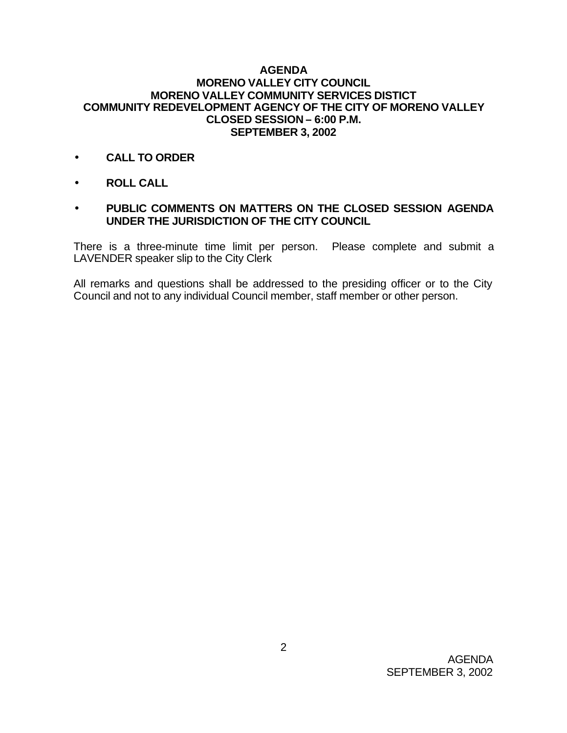## **AGENDA MORENO VALLEY CITY COUNCIL MORENO VALLEY COMMUNITY SERVICES DISTICT COMMUNITY REDEVELOPMENT AGENCY OF THE CITY OF MORENO VALLEY CLOSED SESSION – 6:00 P.M. SEPTEMBER 3, 2002**

- **CALL TO ORDER**
- **ROLL CALL**
- **PUBLIC COMMENTS ON MATTERS ON THE CLOSED SESSION AGENDA UNDER THE JURISDICTION OF THE CITY COUNCIL**

There is a three-minute time limit per person. Please complete and submit a LAVENDER speaker slip to the City Clerk

All remarks and questions shall be addressed to the presiding officer or to the City Council and not to any individual Council member, staff member or other person.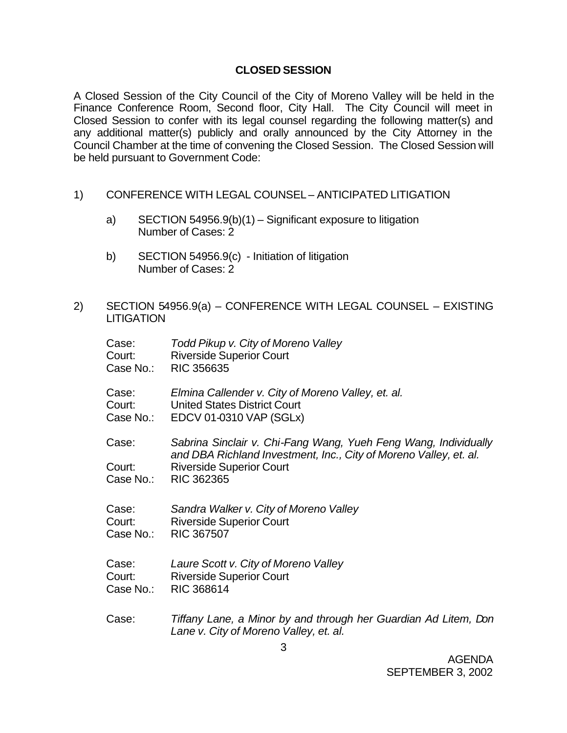## **CLOSED SESSION**

A Closed Session of the City Council of the City of Moreno Valley will be held in the Finance Conference Room, Second floor, City Hall. The City Council will meet in Closed Session to confer with its legal counsel regarding the following matter(s) and any additional matter(s) publicly and orally announced by the City Attorney in the Council Chamber at the time of convening the Closed Session. The Closed Session will be held pursuant to Government Code:

- 1) CONFERENCE WITH LEGAL COUNSEL ANTICIPATED LITIGATION
	- a) SECTION 54956.9(b)(1) Significant exposure to litigation Number of Cases: 2
	- b) SECTION 54956.9(c) Initiation of litigation Number of Cases: 2
- 2) SECTION 54956.9(a) CONFERENCE WITH LEGAL COUNSEL EXISTING **LITIGATION**

| Case:     | Todd Pikup v. City of Moreno Valley                                                                                                  |
|-----------|--------------------------------------------------------------------------------------------------------------------------------------|
| Court:    | <b>Riverside Superior Court</b>                                                                                                      |
| Case No.: | <b>RIC 356635</b>                                                                                                                    |
| Case:     | Elmina Callender v. City of Moreno Valley, et. al.                                                                                   |
| Court:    | <b>United States District Court</b>                                                                                                  |
| Case No.: | EDCV 01-0310 VAP (SGLx)                                                                                                              |
| Case:     | Sabrina Sinclair v. Chi-Fang Wang, Yueh Feng Wang, Individually<br>and DBA Richland Investment, Inc., City of Moreno Valley, et. al. |
| Court:    | <b>Riverside Superior Court</b>                                                                                                      |
| Case No.: | <b>RIC 362365</b>                                                                                                                    |
| Case:     | Sandra Walker v. City of Moreno Valley                                                                                               |
| Court:    | <b>Riverside Superior Court</b>                                                                                                      |
| Case No.: | <b>RIC 367507</b>                                                                                                                    |
| Case:     | Laure Scott v. City of Moreno Valley                                                                                                 |
| Court:    | <b>Riverside Superior Court</b>                                                                                                      |
| Case No.: | RIC 368614                                                                                                                           |
| Case:     | Tiffany Lane, a Minor by and through her Guardian Ad Litem, Don<br>Lane v. City of Moreno Valley, et. al.                            |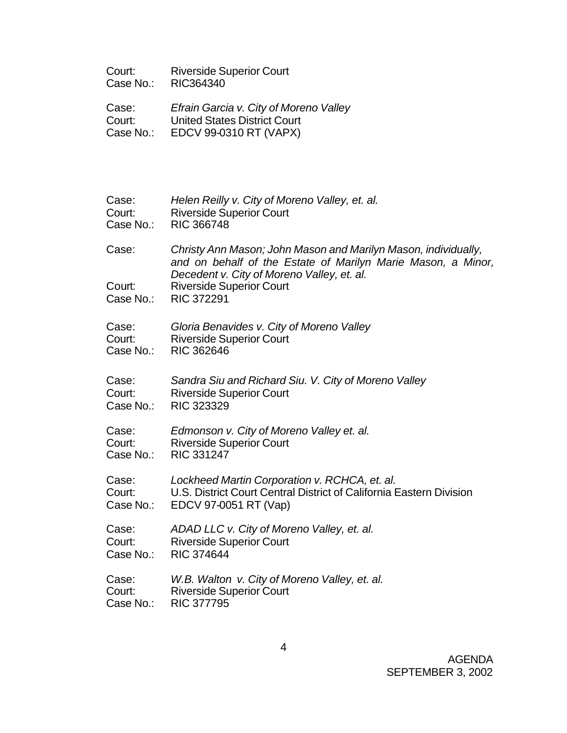| Court:    | <b>Riverside Superior Court</b> |
|-----------|---------------------------------|
| Case No.: | RIC364340                       |

Case: *Efrain Garcia v. City of Moreno Valley* Court: United States District Court Case No.: EDCV 99-0310 RT (VAPX)

| Case:               | Helen Reilly v. City of Moreno Valley, et. al.                                                                                 |
|---------------------|--------------------------------------------------------------------------------------------------------------------------------|
| Court:              | <b>Riverside Superior Court</b>                                                                                                |
| Case No.:           | <b>RIC 366748</b>                                                                                                              |
| Case:               | Christy Ann Mason; John Mason and Marilyn Mason, individually,<br>and on behalf of the Estate of Marilyn Marie Mason, a Minor, |
| Court:<br>Case No.: | Decedent v. City of Moreno Valley, et. al.<br><b>Riverside Superior Court</b><br><b>RIC 372291</b>                             |
| Case:               | Gloria Benavides v. City of Moreno Valley                                                                                      |
| Court:              | <b>Riverside Superior Court</b>                                                                                                |
| Case No.:           | <b>RIC 362646</b>                                                                                                              |
| Case:               | Sandra Siu and Richard Siu. V. City of Moreno Valley                                                                           |
| Court:              | <b>Riverside Superior Court</b>                                                                                                |
| Case No.:           | RIC 323329                                                                                                                     |
| Case:               | Edmonson v. City of Moreno Valley et. al.                                                                                      |
| Court:              | <b>Riverside Superior Court</b>                                                                                                |
| Case No.:           | RIC 331247                                                                                                                     |
| Case:               | Lockheed Martin Corporation v. RCHCA, et. al.                                                                                  |
| Court:              | U.S. District Court Central District of California Eastern Division                                                            |
| Case No.:           | EDCV 97-0051 RT (Vap)                                                                                                          |
| Case:               | ADAD LLC v. City of Moreno Valley, et. al.                                                                                     |
| Court:              | <b>Riverside Superior Court</b>                                                                                                |
| Case No.:           | <b>RIC 374644</b>                                                                                                              |
| Case:               | W.B. Walton v. City of Moreno Valley, et. al.                                                                                  |
| Court:              | <b>Riverside Superior Court</b>                                                                                                |
| Case No.:           | <b>RIC 377795</b>                                                                                                              |